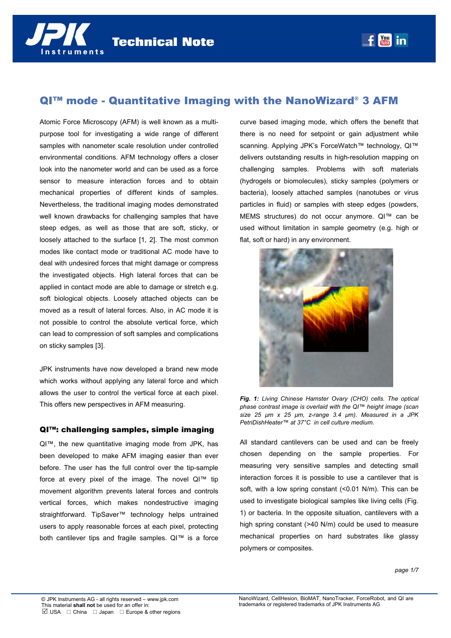

# QI™ mode - Quantitative Imaging with the NanoWizard® 3 AFM

Atomic Force Microscopy (AFM) is well known as a multipurpose tool for investigating a wide range of different samples with nanometer scale resolution under controlled environmental conditions. AFM technology offers a closer look into the nanometer world and can be used as a force sensor to measure interaction forces and to obtain mechanical properties of different kinds of samples. Nevertheless, the traditional imaging modes demonstrated well known drawbacks for challenging samples that have steep edges, as well as those that are soft, sticky, or loosely attached to the surface [1, 2]. The most common modes like contact mode or traditional AC mode have to deal with undesired forces that might damage or compress the investigated objects. High lateral forces that can be applied in contact mode are able to damage or stretch e.g. soft biological objects. Loosely attached objects can be moved as a result of lateral forces. Also, in AC mode it is not possible to control the absolute vertical force, which can lead to compression of soft samples and complications on sticky samples [3].

JPK instruments have now developed a brand new mode which works without applying any lateral force and which allows the user to control the vertical force at each pixel. This offers new perspectives in AFM measuring.

## QI™: challenging samples, simple imaging

QI™, the new quantitative imaging mode from JPK, has been developed to make AFM imaging easier than ever before. The user has the full control over the tip-sample force at every pixel of the image. The novel QI™ tip movement algorithm prevents lateral forces and controls vertical forces, which makes nondestructive imaging straightforward. TipSaver<sup>™</sup> technology helps untrained users to apply reasonable forces at each pixel, protecting both cantilever tips and fragile samples. QI™ is a force curve based imaging mode, which offers the benefit that there is no need for setpoint or gain adjustment while scanning. Applying JPK's ForceWatch™ technology, QI™ delivers outstanding results in high-resolution mapping on challenging samples. Problems with soft materials (hydrogels or biomolecules), sticky samples (polymers or bacteria), loosely attached samples (nanotubes or virus particles in fluid) or samples with steep edges (powders, MEMS structures) do not occur anymore. QI™ can be used without limitation in sample geometry (e.g. high or flat, soft or hard) in any environment.



*Fig. 1: Living Chinese Hamster Ovary (CHO) cells. The optical phase contrast image is overlaid with the QI™ height image (scan size 25 µm x 25 µm, z-range 3.4 µm). Measured in a JPK PetriDishHeater™ at 37°C in cell culture medium.* 

All standard cantilevers can be used and can be freely chosen depending on the sample properties. For measuring very sensitive samples and detecting small interaction forces it is possible to use a cantilever that is soft, with a low spring constant (<0.01 N/m). This can be used to investigate biological samples like living cells (Fig. 1) or bacteria. In the opposite situation, cantilevers with a high spring constant (>40 N/m) could be used to measure mechanical properties on hard substrates like glassy polymers or composites.

*page 1/7*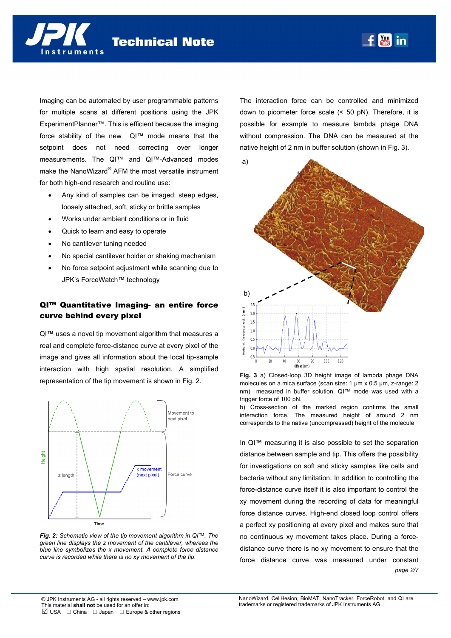Imaging can be automated by user programmable patterns for multiple scans at different positions using the JPK ExperimentPlanner™. This is efficient because the imaging force stability of the new QI™ mode means that the setpoint does not need correcting over longer measurements. The QI™ and QI™-Advanced modes make the NanoWizard® AFM the most versatile instrument for both high-end research and routine use:

- Any kind of samples can be imaged: steep edges, loosely attached, soft, sticky or brittle samples
- Works under ambient conditions or in fluid
- Quick to learn and easy to operate
- No cantilever tuning needed

nstruments

- No special cantilever holder or shaking mechanism
- No force setpoint adjustment while scanning due to JPK's ForceWatch™ technology

# QI™ Quantitative Imaging- an entire force curve behind every pixel

QI™ uses a novel tip movement algorithm that measures a real and complete force-distance curve at every pixel of the image and gives all information about the local tip-sample interaction with high spatial resolution. A simplified representation of the tip movement is shown in Fig. 2.



*Fig. 2: Schematic view of the tip movement algorithm in QI™. The green line displays the z movement of the cantilever, whereas the blue line symbolizes the x movement. A complete force distance curve is recorded while there is no xy movement of the tip.* 

The interaction force can be controlled and minimized down to picometer force scale (< 50 pN). Therefore, it is possible for example to measure lambda phage DNA without compression. The DNA can be measured at the native height of 2 nm in buffer solution (shown in Fig. 3).





b) Cross-section of the marked region confirms the small interaction force. The measured height of around 2 nm corresponds to the native (uncompressed) height of the molecule

*page 2/7*  In QI™ measuring it is also possible to set the separation distance between sample and tip. This offers the possibility for investigations on soft and sticky samples like cells and bacteria without any limitation. In addition to controlling the force-distance curve itself it is also important to control the xy movement during the recording of data for meaningful force distance curves. High-end closed loop control offers a perfect xy positioning at every pixel and makes sure that no continuous xy movement takes place. During a forcedistance curve there is no xy movement to ensure that the force distance curve was measured under constant

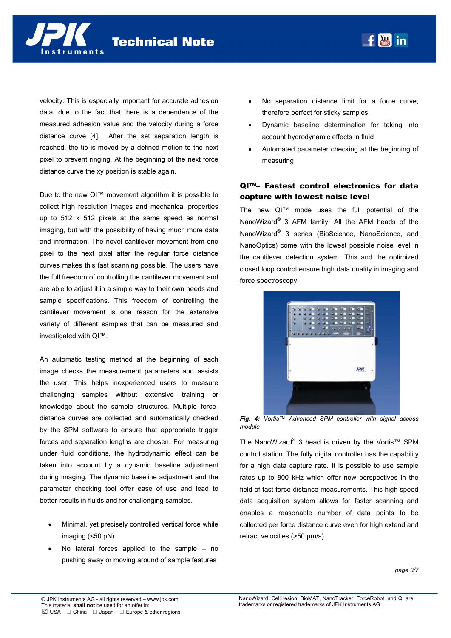

velocity. This is especially important for accurate adhesion data, due to the fact that there is a dependence of the measured adhesion value and the velocity during a force distance curve [4]. After the set separation length is reached, the tip is moved by a defined motion to the next pixel to prevent ringing. At the beginning of the next force distance curve the xy position is stable again.

Due to the new QI™ movement algorithm it is possible to collect high resolution images and mechanical properties up to 512 x 512 pixels at the same speed as normal imaging, but with the possibility of having much more data and information. The novel cantilever movement from one pixel to the next pixel after the regular force distance curves makes this fast scanning possible. The users have the full freedom of controlling the cantilever movement and are able to adjust it in a simple way to their own needs and sample specifications. This freedom of controlling the cantilever movement is one reason for the extensive variety of different samples that can be measured and investigated with QI™.

An automatic testing method at the beginning of each image checks the measurement parameters and assists the user. This helps inexperienced users to measure challenging samples without extensive training or knowledge about the sample structures. Multiple forcedistance curves are collected and automatically checked by the SPM software to ensure that appropriate trigger forces and separation lengths are chosen. For measuring under fluid conditions, the hydrodynamic effect can be taken into account by a dynamic baseline adjustment during imaging. The dynamic baseline adjustment and the parameter checking tool offer ease of use and lead to better results in fluids and for challenging samples.

- Minimal, yet precisely controlled vertical force while imaging (<50 pN)
- No lateral forces applied to the sample no pushing away or moving around of sample features

 No separation distance limit for a force curve, therefore perfect for sticky samples

**You in** 

- Dynamic baseline determination for taking into account hydrodynamic effects in fluid
- Automated parameter checking at the beginning of measuring

# QI™– Fastest control electronics for data capture with lowest noise level

The new QI™ mode uses the full potential of the NanoWizard® 3 AFM family. All the AFM heads of the NanoWizard® 3 series (BioScience, NanoScience, and NanoOptics) come with the lowest possible noise level in the cantilever detection system. This and the optimized closed loop control ensure high data quality in imaging and force spectroscopy.



*Fig. 4: Vortis™ Advanced SPM controller with signal access module* 

The NanoWizard® 3 head is driven by the Vortis™ SPM control station. The fully digital controller has the capability for a high data capture rate. It is possible to use sample rates up to 800 kHz which offer new perspectives in the field of fast force-distance measurements. This high speed data acquisition system allows for faster scanning and enables a reasonable number of data points to be collected per force distance curve even for high extend and retract velocities (>50 um/s).

*page 3/7*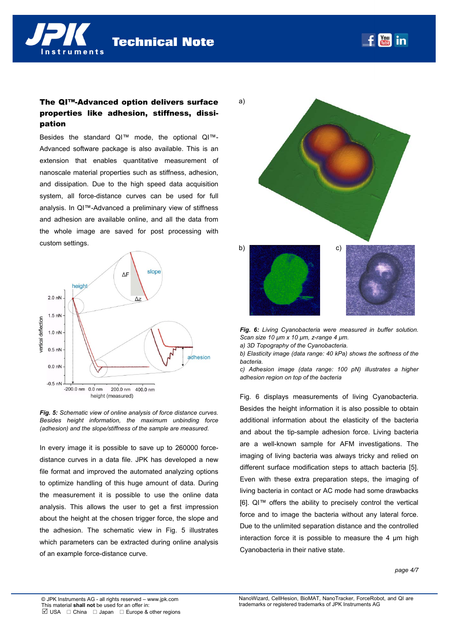$\frac{1}{2}$ in

# The QI™-Advanced option delivers surface properties like adhesion, stiffness, dissipation

Besides the standard QI™ mode, the optional QI™- Advanced software package is also available. This is an extension that enables quantitative measurement of nanoscale material properties such as stiffness, adhesion, and dissipation. Due to the high speed data acquisition system, all force-distance curves can be used for full analysis. In QI™-Advanced a preliminary view of stiffness and adhesion are available online, and all the data from the whole image are saved for post processing with custom settings.





In every image it is possible to save up to 260000 forcedistance curves in a data file. JPK has developed a new file format and improved the automated analyzing options to optimize handling of this huge amount of data. During the measurement it is possible to use the online data analysis. This allows the user to get a first impression about the height at the chosen trigger force, the slope and the adhesion. The schematic view in Fig. 5 illustrates which parameters can be extracted during online analysis of an example force-distance curve.



*Fig. 6: Living Cyanobacteria were measured in buffer solution. Scan size 10 µm x 10 µm, z-range 4 µm.* 

*a) 3D Topography of the Cyanobacteria.* 

*b) Elasticity image (data range: 40 kPa) shows the softness of the bacteria.* 

*c) Adhesion image (data range: 100 pN) illustrates a higher adhesion region on top of the bacteria* 

Fig. 6 displays measurements of living Cyanobacteria. Besides the height information it is also possible to obtain additional information about the elasticity of the bacteria and about the tip-sample adhesion force. Living bacteria are a well-known sample for AFM investigations. The imaging of living bacteria was always tricky and relied on different surface modification steps to attach bacteria [5]. Even with these extra preparation steps, the imaging of living bacteria in contact or AC mode had some drawbacks [6]. QI™ offers the ability to precisely control the vertical force and to image the bacteria without any lateral force. Due to the unlimited separation distance and the controlled interaction force it is possible to measure the 4 µm high Cyanobacteria in their native state.

#### *page 4/7*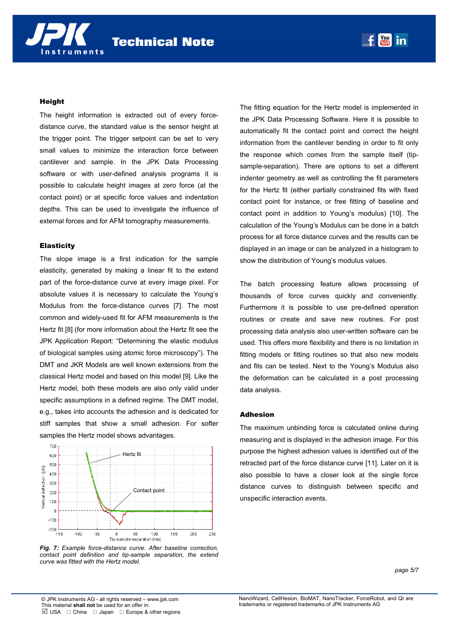### Height

nstruments

The height information is extracted out of every forcedistance curve, the standard value is the sensor height at the trigger point. The trigger setpoint can be set to very small values to minimize the interaction force between cantilever and sample. In the JPK Data Processing software or with user-defined analysis programs it is possible to calculate height images at zero force (at the contact point) or at specific force values and indentation depths. This can be used to investigate the influence of external forces and for AFM tomography measurements.

### **Elasticity**

The slope image is a first indication for the sample elasticity, generated by making a linear fit to the extend part of the force-distance curve at every image pixel. For absolute values it is necessary to calculate the Young's Modulus from the force-distance curves [7]. The most common and widely-used fit for AFM measurements is the Hertz fit [8] (for more information about the Hertz fit see the JPK Application Report: "Determining the elastic modulus of biological samples using atomic force microscopy"). The DMT and JKR Models are well known extensions from the classical Hertz model and based on this model [9]. Like the Hertz model, both these models are also only valid under specific assumptions in a defined regime. The DMT model, e.g., takes into accounts the adhesion and is dedicated for stiff samples that show a small adhesion. For softer samples the Hertz model shows advantages.



*Fig. 7: Example force-distance curve. After baseline correction, contact point definition and tip-sample separation, the extend curve was fitted with the Hertz model.* 

The fitting equation for the Hertz model is implemented in the JPK Data Processing Software. Here it is possible to automatically fit the contact point and correct the height information from the cantilever bending in order to fit only the response which comes from the sample itself (tipsample-separation). There are options to set a different indenter geometry as well as controlling the fit parameters for the Hertz fit (either partially constrained fits with fixed contact point for instance, or free fitting of baseline and contact point in addition to Young's modulus) [10]. The calculation of the Young's Modulus can be done in a batch process for all force distance curves and the results can be displayed in an image or can be analyzed in a histogram to show the distribution of Young's modulus values.

**You in** 

The batch processing feature allows processing of thousands of force curves quickly and conveniently. Furthermore it is possible to use pre-defined operation routines or create and save new routines. For post processing data analysis also user-written software can be used. This offers more flexibility and there is no limitation in fitting models or fitting routines so that also new models and fits can be tested. Next to the Young's Modulus also the deformation can be calculated in a post processing data analysis.

### Adhesion

The maximum unbinding force is calculated online during measuring and is displayed in the adhesion image. For this purpose the highest adhesion values is identified out of the retracted part of the force distance curve [11]. Later on it is also possible to have a closer look at the single force distance curves to distinguish between specific and unspecific interaction events.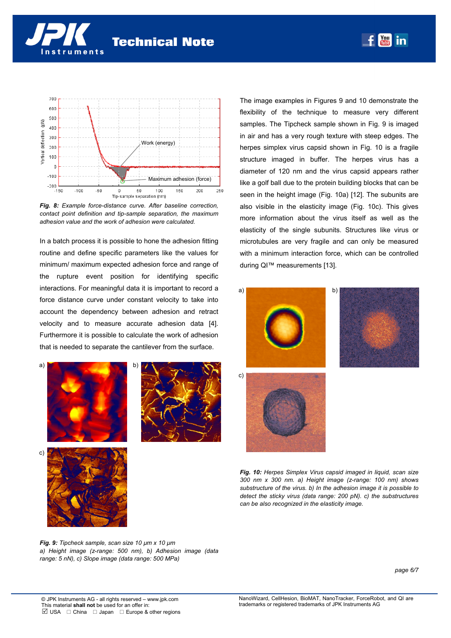

*Fig. 8: Example force-distance curve. After baseline correction, contact point definition and tip-sample separation, the maximum adhesion value and the work of adhesion were calculated.* 

In a batch process it is possible to hone the adhesion fitting routine and define specific parameters like the values for minimum/ maximum expected adhesion force and range of the rupture event position for identifying specific interactions. For meaningful data it is important to record a force distance curve under constant velocity to take into account the dependency between adhesion and retract velocity and to measure accurate adhesion data [4]. Furthermore it is possible to calculate the work of adhesion that is needed to separate the cantilever from the surface.





The image examples in Figures 9 and 10 demonstrate the flexibility of the technique to measure very different samples. The Tipcheck sample shown in Fig. 9 is imaged in air and has a very rough texture with steep edges. The herpes simplex virus capsid shown in Fig. 10 is a fragile structure imaged in buffer. The herpes virus has a diameter of 120 nm and the virus capsid appears rather like a golf ball due to the protein building blocks that can be seen in the height image (Fig. 10a) [12]. The subunits are also visible in the elasticity image (Fig. 10c). This gives more information about the virus itself as well as the elasticity of the single subunits. Structures like virus or microtubules are very fragile and can only be measured with a minimum interaction force, which can be controlled during QI™ measurements [13].

**You in** 



*Fig. 10: Herpes Simplex Virus capsid imaged in liquid, scan size 300 nm x 300 nm. a) Height image (z-range: 100 nm) shows substructure of the virus. b) In the adhesion image it is possible to detect the sticky virus (data range: 200 pN). c) the substructures can be also recognized in the elasticity image.* 

*Fig. 9: Tipcheck sample, scan size 10 µm x 10 µm a) Height image (z-range: 500 nm), b) Adhesion image (data range: 5 nN), c) Slope image (data range: 500 MPa)* 

*page 6/7*